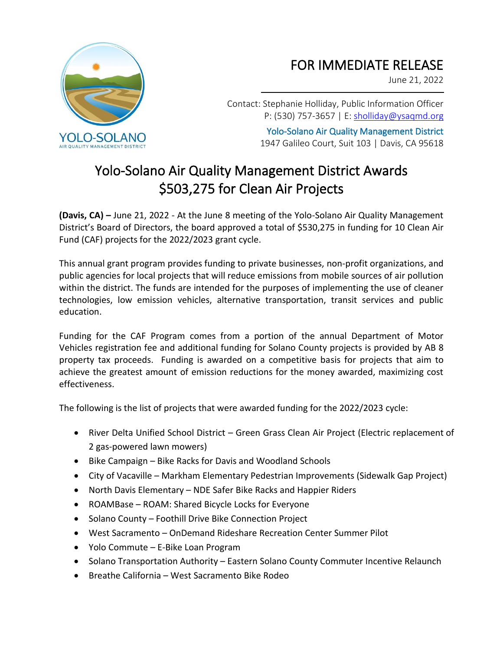

## FOR IMMEDIATE RELEASE

June 21, 2022

Contact: Stephanie Holliday, Public Information Officer P: (530) 757-3657 | E[: sholliday@ysaqmd.org](mailto:sholliday@ysaqmd.org)

> Yolo-Solano Air Quality Management District 1947 Galileo Court, Suit 103 | Davis, CA 95618

## Yolo-Solano Air Quality Management District Awards \$503,275 for Clean Air Projects

**(Davis, CA) –** June 21, 2022 - At the June 8 meeting of the Yolo-Solano Air Quality Management District's Board of Directors, the board approved a total of \$530,275 in funding for 10 Clean Air Fund (CAF) projects for the 2022/2023 grant cycle.

This annual grant program provides funding to private businesses, non-profit organizations, and public agencies for local projects that will reduce emissions from mobile sources of air pollution within the district. The funds are intended for the purposes of implementing the use of cleaner technologies, low emission vehicles, alternative transportation, transit services and public education.

Funding for the CAF Program comes from a portion of the annual Department of Motor Vehicles registration fee and additional funding for Solano County projects is provided by AB 8 property tax proceeds. Funding is awarded on a competitive basis for projects that aim to achieve the greatest amount of emission reductions for the money awarded, maximizing cost effectiveness.

The following is the list of projects that were awarded funding for the 2022/2023 cycle:

- River Delta Unified School District Green Grass Clean Air Project (Electric replacement of 2 gas-powered lawn mowers)
- Bike Campaign Bike Racks for Davis and Woodland Schools
- City of Vacaville Markham Elementary Pedestrian Improvements (Sidewalk Gap Project)
- North Davis Elementary NDE Safer Bike Racks and Happier Riders
- ROAMBase ROAM: Shared Bicycle Locks for Everyone
- Solano County Foothill Drive Bike Connection Project
- West Sacramento OnDemand Rideshare Recreation Center Summer Pilot
- Yolo Commute E-Bike Loan Program
- Solano Transportation Authority Eastern Solano County Commuter Incentive Relaunch
- Breathe California West Sacramento Bike Rodeo